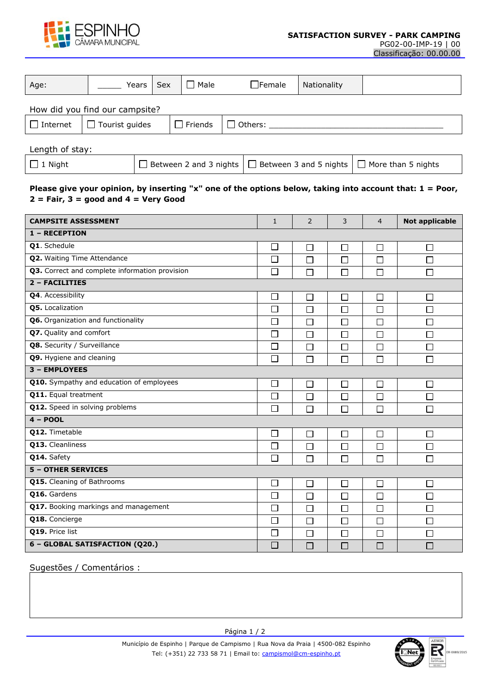

PG02-00-IMP-19 | 00 Classificação: 00.00.00

| Age:                           | Years                 | <b>Sex</b> | $\Box$ Male            | $\Box$ Female  | Nationality                   |                           |  |  |  |  |  |
|--------------------------------|-----------------------|------------|------------------------|----------------|-------------------------------|---------------------------|--|--|--|--|--|
| How did you find our campsite? |                       |            |                        |                |                               |                           |  |  |  |  |  |
| $\Box$ Internet                | $\Box$ Tourist guides |            | $\Box$ Friends         | $\Box$ Others: |                               |                           |  |  |  |  |  |
| Length of stay:                |                       |            |                        |                |                               |                           |  |  |  |  |  |
| $\Box$ 1 Night                 |                       |            | Between 2 and 3 nights |                | $\Box$ Between 3 and 5 nights | $\Box$ More than 5 nights |  |  |  |  |  |

## **Please give your opinion, by inserting "x" one of the options below, taking into account that: 1 = Poor, 2 = Fair, 3 = good and 4 = Very Good**

| <b>CAMPSITE ASSESSMENT</b>                     | $\mathbf{1}$ | 2      | 3      | $\overline{4}$ | <b>Not applicable</b> |  |  |  |  |  |
|------------------------------------------------|--------------|--------|--------|----------------|-----------------------|--|--|--|--|--|
| 1 - RECEPTION                                  |              |        |        |                |                       |  |  |  |  |  |
| <b>Q1.</b> Schedule                            |              | $\Box$ | П      | П              | $\Box$                |  |  |  |  |  |
| Q2. Waiting Time Attendance                    |              | $\Box$ | □      | □              | $\Box$                |  |  |  |  |  |
| Q3. Correct and complete information provision |              | $\Box$ | $\Box$ | П              | $\Box$                |  |  |  |  |  |
| 2 - FACILITIES                                 |              |        |        |                |                       |  |  |  |  |  |
| Q4. Accessibility                              | □            | $\Box$ | $\Box$ | $\Box$         | $\Box$                |  |  |  |  |  |
| Q5. Localization                               | П            | П      | □      | П              | П                     |  |  |  |  |  |
| Q6. Organization and functionality             | $\Box$       | $\Box$ | $\Box$ | П              | $\Box$                |  |  |  |  |  |
| Q7. Quality and comfort                        | □            | $\Box$ | $\Box$ | $\Box$         | $\Box$                |  |  |  |  |  |
| Q8. Security / Surveillance                    | П            | $\Box$ | □      | $\Box$         | $\Box$                |  |  |  |  |  |
| Q9. Hygiene and cleaning                       | П            | $\Box$ | □      | П              | $\Box$                |  |  |  |  |  |
| 3 - EMPLOYEES                                  |              |        |        |                |                       |  |  |  |  |  |
| Q10. Sympathy and education of employees       | $\Box$       | $\Box$ | □      | □              | $\Box$                |  |  |  |  |  |
| Q11. Equal treatment                           | П            | $\Box$ | $\Box$ | П              | $\Box$                |  |  |  |  |  |
| Q12. Speed in solving problems                 | П            | П      | П      | П              | $\Box$                |  |  |  |  |  |
| $4 - POOL$                                     |              |        |        |                |                       |  |  |  |  |  |
| Q12. Timetable                                 | $\Box$       | $\Box$ | □      | □              | $\Box$                |  |  |  |  |  |
| Q13. Cleanliness                               | П            | $\Box$ | $\Box$ | $\Box$         | $\Box$                |  |  |  |  |  |
| Q14. Safety                                    | $\Box$       | $\Box$ | □      | $\Box$         | $\Box$                |  |  |  |  |  |
| <b>5 - OTHER SERVICES</b>                      |              |        |        |                |                       |  |  |  |  |  |
| Q15. Cleaning of Bathrooms                     | □            | $\Box$ | $\Box$ | $\Box$         | $\Box$                |  |  |  |  |  |
| Q16. Gardens                                   |              | $\Box$ | П      | $\Box$         | $\Box$                |  |  |  |  |  |
| Q17. Booking markings and management           |              | $\Box$ | □      | $\Box$         | $\Box$                |  |  |  |  |  |
| Q18. Concierge                                 |              | $\Box$ | $\Box$ | $\Box$         | $\Box$                |  |  |  |  |  |
| Q19. Price list                                |              | $\Box$ | $\Box$ | $\Box$         | $\Box$                |  |  |  |  |  |
| 6 - GLOBAL SATISFACTION (Q20.)                 |              | $\Box$ | $\Box$ | $\Box$         | $\Box$                |  |  |  |  |  |

Sugestões / Comentários :